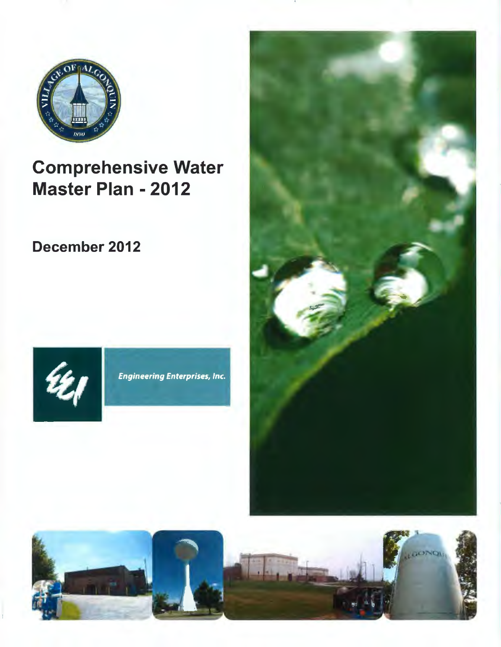

# Comprehensive Water Master Plan - 2012

December 2012



**Engineering Enterprises, Inc.** 



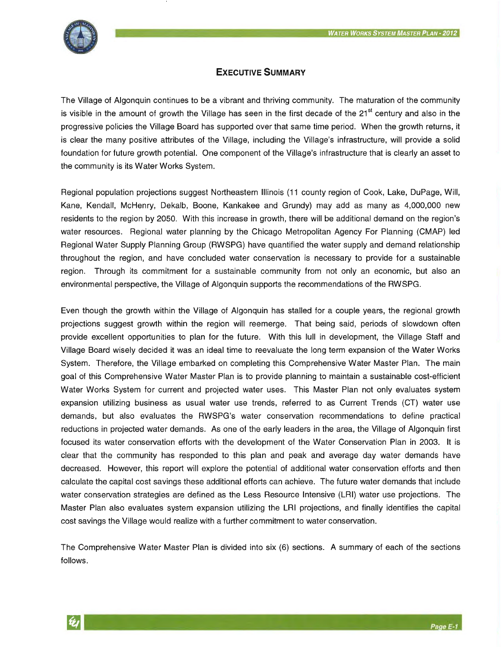

# **EXECUTIVE SUMMARY**

The Village of Algonquin continues to be a vibrant and thriving community. The maturation of the community is visible in the amount of growth the Village has seen in the first decade of the 21<sup>st</sup> century and also in the progressive policies the Village Board has supported over that same time period. When the growth returns, it is clear the many positive attributes of the Village, including the Village's infrastructure, will provide a solid foundation for future growth potential. One component of the Village's infrastructure that is clearly an asset to the community is its Water Works System.

Regional population projections suggest Northeastern Illinois (11 county region of Cook, Lake, DuPage, Will, Kane, Kendall, McHenry, Dekalb, Boone, Kankakee and Grundy) may add as many as 4,000,000 new residents to the region by 2050. With this increase in growth, there will be additional demand on the region's water resources. Regional water planning by the Chicago Metropolitan Agency For Planning (CMAP) led Regional Water Supply Planning Group (RWSPG) have quantified the water supply and demand relationship throughout the region, and have concluded water conservation is necessary to provide for a sustainable region. Through its commitment for a sustainable community from not only an economic, but also an environmental perspective, the Village of Algonquin supports the recommendations of the RWSPG.

Even though the growth within the Village of Algonquin has stalled for a couple years, the regional growth projections suggest growth within the region will reemerge. That being said, periods of slowdown often provide excellent opportunities to plan for the future. With this lull in development, the Village Staff and Village Board wisely decided it was an ideal time to reevaluate the long term expansion of the Water Works System. Therefore, the Village embarked on completing this Comprehensive Water Master Plan. The main goal of this Comprehensive Water Master Plan is to provide planning to maintain a sustainable cost-efficient Water Works System for current and projected water uses. This Master Plan not only evaluates system expansion utilizing business as usual water use trends, referred to as Current Trends (CT) water use demands, but also evaluates the RWSPG's water conservation recommendations to define practical reductions in projected water demands. As one of the early leaders in the area, the Village of Algonquin first focused its water conservation efforts with the development of the Water Conservation Plan in 2003. It is clear that the community has responded to this plan and peak and average day water demands have decreased. However, this report will explore the potential of additional water conservation efforts and then calculate the capital cost savings these additional efforts can achieve. The future water demands that include water conservation strategies are defined as the Less Resource Intensive (LRI) water use projections. The Master Plan also evaluates system expansion utilizing the LRI projections, and finally identifies the capital cost savings the Village would realize with a further commitment to water conservation.

The Comprehensive Water Master Plan is divided into six (6) sections. A summary of each of the sections follows.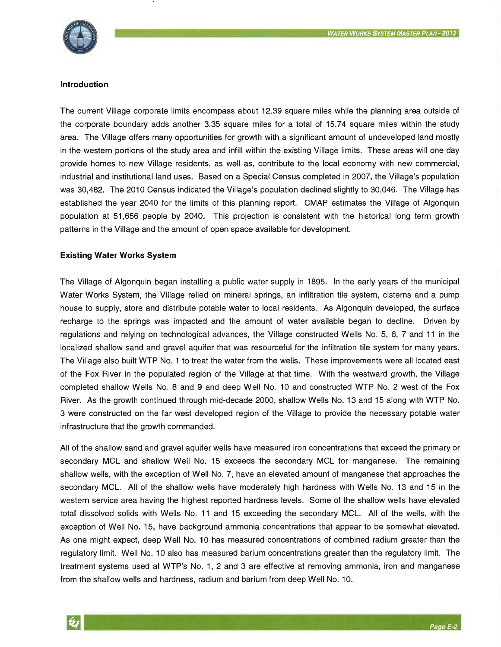

#### **Introduction**

The current Village corporate limits encompass about 12.39 square miles while the planning area outside of the corporate boundary adds another 3.35 square miles for a total of 15.74 square miles within the study area. The Village offers many opportunities for growth with a significant amount of undeveloped land mostly in the western portions of the study area and infill within the existing Village limits. These areas will one day provide homes to new Village residents, as well as, contribute to the local economy with new commercial, industrial and institutional land uses. Based on a Special Census completed in 2007, the Village's population was 30,482. The 2010 Census indicated the Village's population declined slightly to 30,046. The Village has established the year 2040 for the limits of this planning report. CMAP estimates the Village of Algonquin population at 51,656 people by 2040. This projection is consistent with the historical long term growth patterns in the Village and the amount of open space available for development.

#### **Existing Water Works System**

The Village of Algonquin began installing a public water supply in 1895. In the early years of the municipal Water Works System, the Village relied on mineral springs, an infiltration tile system, cisterns and a pump house to supply, store and distribute potable water to local residents. As Algonquin developed, the surface recharge to the springs was impacted and the amount of water available began to decline. Driven by regulations and relying on technological advances, the Village constructed Wells No. 5, 6, 7 and 11 in the localized shallow sand and gravel aquifer that was resourceful for the infiltration tile system for many years. The Village also built WTP No. 1 to treat the water from the wells. These improvements were all located east of the Fox River in the populated region of the Village at that time. With the westward growth, the Village completed shallow Wells No. 8 and 9 and deep Well No. 10 and constructed WTP No. 2 west of the Fox River. As the growth continued through mid-decade 2000, shallow Wells No. 13 and 15 along with WTP No. 3 were constructed on the far west developed region of the Village to provide the necessary potable water infrastructure that the growth commanded.

All of the shallow sand and gravel aquifer wells have measured iron concentrations that exceed the primary or secondary MCL and shallow Well No. 15 exceeds the secondary MCL for manganese. The remaining shallow wells, with the exception of Well No. 7, have an elevated amount of manganese that approaches the secondary MCL. All of the shallow wells have moderately high hardness with Wells No. 13 and 15 in the western service area having the highest reported hardness levels. Some of the shallow wells have elevated total dissolved solids with Wells No. 11 and 15 exceeding the secondary MCL. All of the wells, with the exception of Well No. 15, have background ammonia concentrations that appear to be somewhat elevated. As one might expect, deep Well No. 10 has measured concentrations of combined radium greater than the regulatory limit. Well No. 10 also has measured barium concentrations greater than the regulatory limit. The treatment systems used at WTP's No. 1, 2 and 3 are effective at removing ammonia, iron and manganese from the shallow wells and hardness, radium and barium from deep Well No. 10.

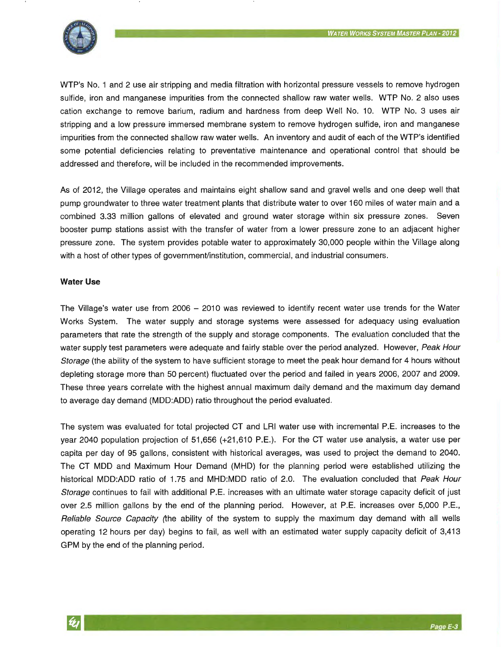

WTP's No. 1 and 2 use air stripping and media filtration with horizontal pressure vessels to remove hydrogen sulfide, iron and manganese impurities from the connected shallow raw water wells. WTP No. 2 also uses cation exchange to remove barium, radium and hardness from deep Well No. 10. WTP No. 3 uses air stripping and a low pressure immersed membrane system to remove hydrogen sulfide, iron and manganese impurities from the connected shallow raw water wells. An inventory and audit of each of the WTP's identified some potential deficiencies relating to preventative maintenance and operational control that should be addressed and therefore, will be included in the recommended improvements.

As of 2012, the Village operates and maintains eight shallow sand and gravel wells and one deep well that pump groundwater to three water treatment plants that distribute water to over 160 miles of water main and a combined 3.33 million gallons of elevated and ground water storage within six pressure zones. Seven booster pump stations assist with the transfer of water from a lower pressure zone to an adjacent higher pressure zone. The system provides potable water to approximately 30,000 people within the Village along with a host of other types of government/institution, commercial, and industrial consumers.

#### **Water Use**

The Village's water use from 2006 – 2010 was reviewed to identify recent water use trends for the Water Works System. The water supply and storage systems were assessed for adequacy using evaluation parameters that rate the strength of the supply and storage components. The evaluation concluded that the water supply test parameters were adequate and fairly stable over the period analyzed. However, Peak Hour Storage (the ability of the system to have sufficient storage to meet the peak hour demand for 4 hours without depleting storage more than 50 percent) fluctuated over the period and failed in years 2006, 2007 and 2009. These three years correlate with the highest annual maximum daily demand and the maximum day demand to average day demand (MDD:ADD) ratio throughout the period evaluated.

The system was evaluated for total projected CT and LRI water use with incremental P.E. increases to the year 2040 population projection of 51,656 (+21,610 P.E.). For the CT water use analysis, a water use per capita per day of 95 gallons, consistent with historical averages, was used to project the demand to 2040. The CT MOD and Maximum Hour Demand (MHD) for the planning period were established utilizing the historical MDD:ADD ratio of 1.75 and MHD:MDD ratio of 2.0. The evaluation concluded that Peak Hour Storage continues to fail with additional P.E. increases with an ultimate water storage capacity deficit of just over 2.5 million gallons by the end of the planning period. However, at P.E. increases over 5,000 P.E., Reliable Source Capacity (the ability of the system to supply the maximum day demand with all wells operating 12 hours per day) begins to fail, as well with an estimated water supply capacity deficit of 3,413 GPM by the end of the planning period.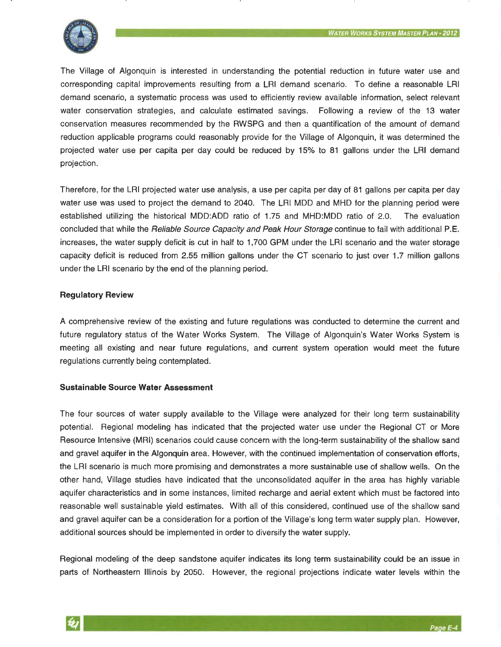

The Village of Algonquin is interested in understanding the potential reduction in future water use and corresponding capital improvements resulting from a LRI demand scenario. To define a reasonable LRI demand scenario, a systematic process was used to efficiently review available information, select relevant water conservation strategies, and calculate estimated savings. Following a review of the 13 water conservation measures recommended by the RWSPG and then a quantification of the amount of demand reduction applicable programs could reasonably provide for the Village of Algonquin, it was determined the projected water use per capita per day could be reduced by 15% to 81 gallons under the LRI demand projection.

Therefore, for the LRI projected water use analysis, a use per capita per day of 81 gallons per capita per day water use was used to project the demand to 2040. The LRI MDD and MHD for the planning period were established utilizing the historical MDD:ADD ratio of 1.75 and MHD:MDD ratio of 2.0. The evaluation concluded that while the Reliable Source Capacity and Peak Hour Storage continue to fail with additional P.E. increases, the water supply deficit is cut in half to 1,700 GPM under the LRI scenario and the water storage capacity deficit is reduced from 2.55 million gallons under the CT scenario to just over 1.7 million gallons under the LRI scenario by the end of the planning period.

## **Regulatory Review**

A comprehensive review of the existing and future regulations was conducted to determine the current and future regulatory status of the Water Works System. The Village of Algonquin's Water Works System is meeting all existing and near future regulations, and current system operation would meet the future regulations currently being contemplated.

### **Sustainable Source Water Assessment**

The four sources of water supply available to the Village were analyzed for their long term sustainability potential. Regional modeling has indicated that the projected water use under the Regional CT or More Resource Intensive (MRI) scenarios could cause concern with the long-term sustainability of the shallow sand and gravel aquifer in the Algonquin area. However, with the continued implementation of conservation efforts, the LRI scenario is much more promising and demonstrates a more sustainable use of shallow wells. On the other hand, Village studies have indicated that the unconsolidated aquifer in the area has highly variable aquifer characteristics and in some instances, limited recharge and aerial extent which must be factored into reasonable well sustainable yield estimates. With all of this considered, continued use of the shallow sand and gravel aquifer can be a consideration for a portion of the Village's long term water supply plan. However, additional sources should be implemented in order to diversify the water supply.

Regional modeling of the deep sandstone aquifer indicates its long term sustainability could be an issue in parts of Northeastern Illinois by 2050. However, the regional projections indicate water levels within the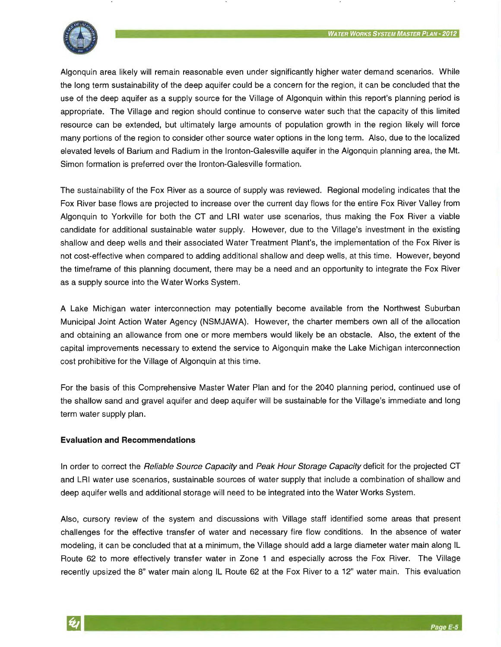

Algonquin area likely will remain reasonable even under significantly higher water demand scenarios. While the long term sustainability of the deep aquifer could be a concern for the region, it can be concluded that the use of the deep aquifer as a supply source for the Village of Algonquin within this report's planning period is appropriate. The Village and region should continue to conserve water such that the capacity of this limited resource can be extended, but ultimately large amounts of population growth in the region likely will force many portions of the region to consider other source water options in the long term. Also, due to the localized elevated levels of Barium and Radium in the Ironton-Galesville aquifer in the Algonquin planning area, the Mt. Simon formation is preferred over the Ironton-Galesville formation.

The sustainability of the Fox River as a source of supply was reviewed. Regional modeling indicates that the Fox River base flows are projected to increase over the current day flows for the entire Fox River Valley from Algonquin to Yorkville for both the CT and LRI water use scenarios, thus making the Fox River a viable candidate for additional sustainable water supply. However, due to the Village's investment in the existing shallow and deep wells and their associated Water Treatment Plant's, the implementation of the Fox River is not cost-effective when compared to adding additional shallow and deep wells, at this time. However, beyond the timeframe of this planning document, there may be a need and an opportunity to integrate the Fox River as a supply source into the Water Works System.

A Lake Michigan water interconnection may potentially become available from the Northwest Suburban Municipal Joint Action Water Agency (NSMJAWA). However, the charter members own all of the allocation and obtaining an allowance from one or more members would likely be an obstacle. Also, the extent of the capital improvements necessary to extend the service to Algonquin make the Lake Michigan interconnection cost prohibitive for the Village of Algonquin at this time.

For the basis of this Comprehensive Master Water Plan and for the 2040 planning period, continued use of the shallow sand and gravel aquifer and deep aquifer will be sustainable for the Village's immediate and long term water supply plan.

#### **Evaluation and Recommendations**

In order to correct the *Reliable Source Capacity* and Peak Hour Storage Capacity deficit for the projected CT and LRI water use scenarios, sustainable sources of water supply that include a combination of shallow and deep aquifer wells and additional storage will need to be integrated into the Water Works System.

Also, cursory review of the system and discussions with Village staff identified some areas that present challenges for the effective transfer of water and necessary fire flow conditions. In the absence of water modeling, it can be concluded that at a minimum, the Village should add a large diameter water main along IL Route 62 to more effectively transfer water in Zone 1 and especially across the Fox River. The Village recently upsized the 8" water main along IL Route 62 at the Fox River to a 12" water main. This evaluation

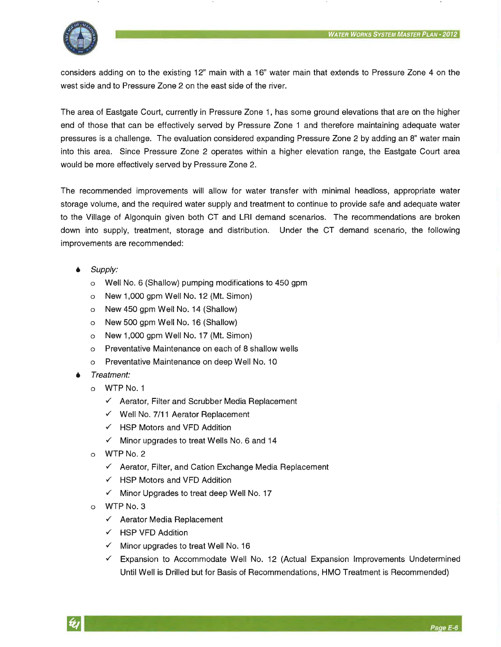

considers adding on to the existing 12" main with a 16" water main that extends to Pressure Zone 4 on the west side and to Pressure Zone 2 on the east side of the river.

The area of Eastgate Court, currently in Pressure Zone 1, has some ground elevations that are on the higher end of those that can be effectively served by Pressure Zone 1 and therefore maintaining adequate water pressures is a challenge. The evaluation considered expanding Pressure Zone 2 by adding an 8" water main into this area. Since Pressure Zone 2 operates within a higher elevation range, the Eastgate Court area would be more effectively served by Pressure Zone 2.

The recommended improvements will allow for water transfer with minimal headless, appropriate water storage volume, and the required water supply and treatment to continue to provide safe and adequate water to the Village of Algonquin given both CT and LRI demand scenarios. The recommendations are broken down into supply, treatment, storage and distribution. Under the CT demand scenario, the following improvements are recommended:

- Supply:
	- o Well No. 6 (Shallow) pumping modifications to 450 gpm
	- o New 1,000 gpm Well No. 12 (Mt. Simon)
	- o New 450 gpm Well No. 14 (Shallow)
	- o New 500 gpm Well No. 16 (Shallow)
	- o New 1,000 gpm Well No. 17 (Mt. Simon)
	- o Preventative Maintenance on each of 8 shallow wells
	- o Preventative Maintenance on deep Well No. 10
- Treatment:
	- o WTP No.1
		- $\checkmark$  Aerator, Filter and Scrubber Media Replacement
		- $\checkmark$  Well No. 7/11 Aerator Replacement
		- $\checkmark$  HSP Motors and VFD Addition
		- $\checkmark$  Minor upgrades to treat Wells No. 6 and 14
	- o WTP No. 2
		- $\checkmark$  Aerator, Filter, and Cation Exchange Media Replacement
		- $\checkmark$  HSP Motors and VFD Addition
		- $\checkmark$  Minor Upgrades to treat deep Well No. 17
	- o WTP No. 3
		- $\checkmark$  Aerator Media Replacement
		- $\checkmark$  HSP VFD Addition
		- $\checkmark$  Minor upgrades to treat Well No. 16
		- $\checkmark$  Expansion to Accommodate Well No. 12 (Actual Expansion Improvements Undetermined Until Well is Drilled but for Basis of Recommendations, HMO Treatment is Recommended)

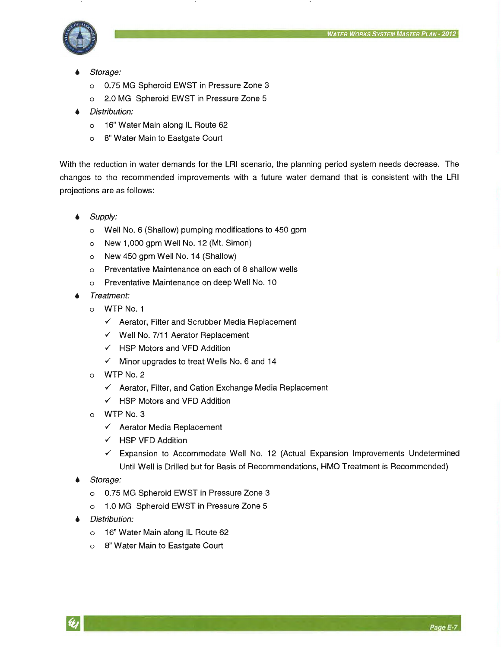

- Storage:
	- o 0.75 MG Spheroid EWST in Pressure Zone 3
	- o 2.0 MG Spheroid EWST in Pressure Zone 5
- Distribution:
	- o 16" Water Main along IL Route 62
	- o 8" Water Main to Eastgate Court

With the reduction in water demands for the LRI scenario, the planning period system needs decrease. The changes to the recommended improvements with a future water demand that is consistent with the LRI projections are as follows:

- Supply:
	- o Well No. 6 (Shallow) pumping modifications to 450 gpm
	- o New 1,000 gpm Well No. 12 (Mt. Simon)
	- o New 450 gpm Well No. 14 (Shallow)
	- o Preventative Maintenance on each of 8 shallow wells
	- o Preventative Maintenance on deep Well No. 10
- Treatment:
	- o WTP No. 1
		- *v'* Aerator, Filter and Scrubber Media Replacement
		- *v'* Well No. 7/11 Aerator Replacement
		- *v'* HSP Motors and VFD Addition
		- *v'* Minor upgrades to treat Wells No. 6 and 14
	- o WTP No. 2
		- *v'* Aerator, Filter, and Cation Exchange Media Replacement
		- *v'* HSP Motors and VFD Addition
	- o WTP No. 3
		- *v'* Aerator Media Replacement
		- *v'* HSP VFD Addition
		- *v'* Expansion to Accommodate Well No. 12 (Actual Expansion Improvements Undetermined Until Well is Drilled but for Basis of Recommendations, HMO Treatment is Recommended)
- Storage:
	- o 0.75 MG Spheroid EWST in Pressure Zone 3
	- o 1.0 MG Spheroid EWST in Pressure Zone 5
- Distribution:
	- o 16" Water Main along IL Route 62
	- o 8" Water Main to Eastgate Court